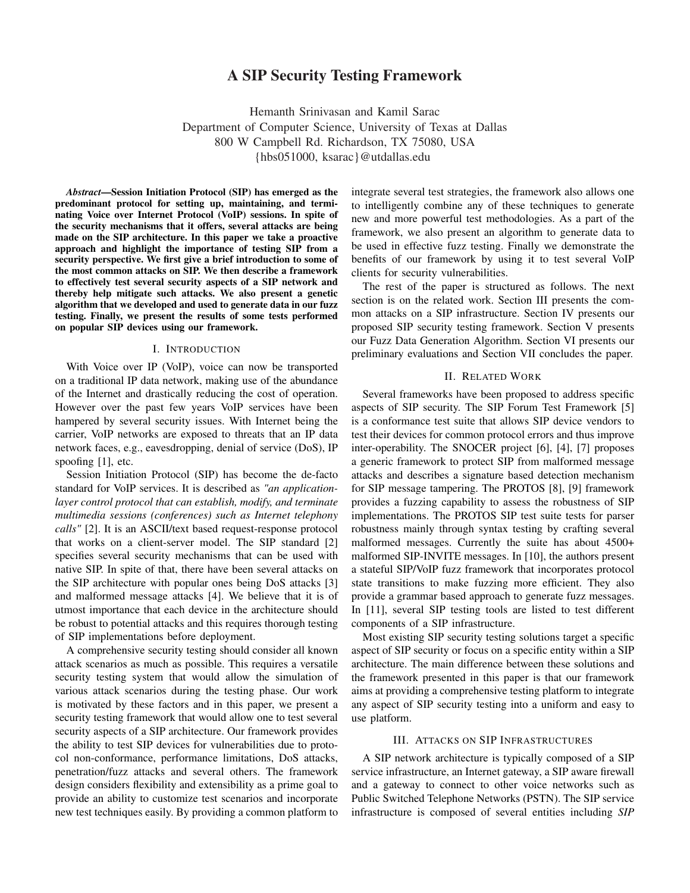# A SIP Security Testing Framework

Hemanth Srinivasan and Kamil Sarac Department of Computer Science, University of Texas at Dallas 800 W Campbell Rd. Richardson, TX 75080, USA {hbs051000, ksarac}@utdallas.edu

*Abstract*—Session Initiation Protocol (SIP) has emerged as the predominant protocol for setting up, maintaining, and terminating Voice over Internet Protocol (VoIP) sessions. In spite of the security mechanisms that it offers, several attacks are being made on the SIP architecture. In this paper we take a proactive approach and highlight the importance of testing SIP from a security perspective. We first give a brief introduction to some of the most common attacks on SIP. We then describe a framework to effectively test several security aspects of a SIP network and thereby help mitigate such attacks. We also present a genetic algorithm that we developed and used to generate data in our fuzz testing. Finally, we present the results of some tests performed on popular SIP devices using our framework.

#### I. INTRODUCTION

With Voice over IP (VoIP), voice can now be transported on a traditional IP data network, making use of the abundance of the Internet and drastically reducing the cost of operation. However over the past few years VoIP services have been hampered by several security issues. With Internet being the carrier, VoIP networks are exposed to threats that an IP data network faces, e.g., eavesdropping, denial of service (DoS), IP spoofing [1], etc.

Session Initiation Protocol (SIP) has become the de-facto standard for VoIP services. It is described as *"an applicationlayer control protocol that can establish, modify, and terminate multimedia sessions (conferences) such as Internet telephony calls"* [2]. It is an ASCII/text based request-response protocol that works on a client-server model. The SIP standard [2] specifies several security mechanisms that can be used with native SIP. In spite of that, there have been several attacks on the SIP architecture with popular ones being DoS attacks [3] and malformed message attacks [4]. We believe that it is of utmost importance that each device in the architecture should be robust to potential attacks and this requires thorough testing of SIP implementations before deployment.

A comprehensive security testing should consider all known attack scenarios as much as possible. This requires a versatile security testing system that would allow the simulation of various attack scenarios during the testing phase. Our work is motivated by these factors and in this paper, we present a security testing framework that would allow one to test several security aspects of a SIP architecture. Our framework provides the ability to test SIP devices for vulnerabilities due to protocol non-conformance, performance limitations, DoS attacks, penetration/fuzz attacks and several others. The framework design considers flexibility and extensibility as a prime goal to provide an ability to customize test scenarios and incorporate new test techniques easily. By providing a common platform to

integrate several test strategies, the framework also allows one to intelligently combine any of these techniques to generate new and more powerful test methodologies. As a part of the framework, we also present an algorithm to generate data to be used in effective fuzz testing. Finally we demonstrate the benefits of our framework by using it to test several VoIP clients for security vulnerabilities.

The rest of the paper is structured as follows. The next section is on the related work. Section III presents the common attacks on a SIP infrastructure. Section IV presents our proposed SIP security testing framework. Section V presents our Fuzz Data Generation Algorithm. Section VI presents our preliminary evaluations and Section VII concludes the paper.

## II. RELATED WORK

Several frameworks have been proposed to address specific aspects of SIP security. The SIP Forum Test Framework [5] is a conformance test suite that allows SIP device vendors to test their devices for common protocol errors and thus improve inter-operability. The SNOCER project [6], [4], [7] proposes a generic framework to protect SIP from malformed message attacks and describes a signature based detection mechanism for SIP message tampering. The PROTOS [8], [9] framework provides a fuzzing capability to assess the robustness of SIP implementations. The PROTOS SIP test suite tests for parser robustness mainly through syntax testing by crafting several malformed messages. Currently the suite has about 4500+ malformed SIP-INVITE messages. In [10], the authors present a stateful SIP/VoIP fuzz framework that incorporates protocol state transitions to make fuzzing more efficient. They also provide a grammar based approach to generate fuzz messages. In [11], several SIP testing tools are listed to test different components of a SIP infrastructure.

Most existing SIP security testing solutions target a specific aspect of SIP security or focus on a specific entity within a SIP architecture. The main difference between these solutions and the framework presented in this paper is that our framework aims at providing a comprehensive testing platform to integrate any aspect of SIP security testing into a uniform and easy to use platform.

#### III. ATTACKS ON SIP INFRASTRUCTURES

A SIP network architecture is typically composed of a SIP service infrastructure, an Internet gateway, a SIP aware firewall and a gateway to connect to other voice networks such as Public Switched Telephone Networks (PSTN). The SIP service infrastructure is composed of several entities including *SIP*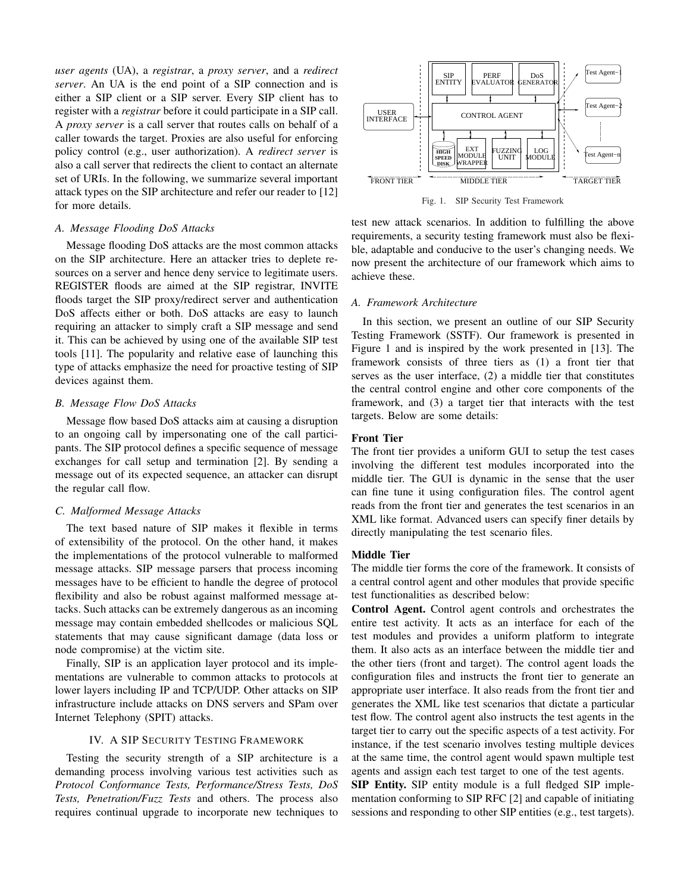*user agents* (UA), a *registrar*, a *proxy server*, and a *redirect server*. An UA is the end point of a SIP connection and is either a SIP client or a SIP server. Every SIP client has to register with a *registrar* before it could participate in a SIP call. A *proxy server* is a call server that routes calls on behalf of a caller towards the target. Proxies are also useful for enforcing policy control (e.g., user authorization). A *redirect server* is also a call server that redirects the client to contact an alternate set of URIs. In the following, we summarize several important attack types on the SIP architecture and refer our reader to [12] for more details.

## *A. Message Flooding DoS Attacks*

Message flooding DoS attacks are the most common attacks on the SIP architecture. Here an attacker tries to deplete resources on a server and hence deny service to legitimate users. REGISTER floods are aimed at the SIP registrar, INVITE floods target the SIP proxy/redirect server and authentication DoS affects either or both. DoS attacks are easy to launch requiring an attacker to simply craft a SIP message and send it. This can be achieved by using one of the available SIP test tools [11]. The popularity and relative ease of launching this type of attacks emphasize the need for proactive testing of SIP devices against them.

## *B. Message Flow DoS Attacks*

Message flow based DoS attacks aim at causing a disruption to an ongoing call by impersonating one of the call participants. The SIP protocol defines a specific sequence of message exchanges for call setup and termination [2]. By sending a message out of its expected sequence, an attacker can disrupt the regular call flow.

## *C. Malformed Message Attacks*

The text based nature of SIP makes it flexible in terms of extensibility of the protocol. On the other hand, it makes the implementations of the protocol vulnerable to malformed message attacks. SIP message parsers that process incoming messages have to be efficient to handle the degree of protocol flexibility and also be robust against malformed message attacks. Such attacks can be extremely dangerous as an incoming message may contain embedded shellcodes or malicious SQL statements that may cause significant damage (data loss or node compromise) at the victim site.

Finally, SIP is an application layer protocol and its implementations are vulnerable to common attacks to protocols at lower layers including IP and TCP/UDP. Other attacks on SIP infrastructure include attacks on DNS servers and SPam over Internet Telephony (SPIT) attacks.

## IV. A SIP SECURITY TESTING FRAMEWORK

Testing the security strength of a SIP architecture is a demanding process involving various test activities such as *Protocol Conformance Tests, Performance/Stress Tests, DoS Tests, Penetration/Fuzz Tests* and others. The process also requires continual upgrade to incorporate new techniques to



Fig. 1. SIP Security Test Framework

test new attack scenarios. In addition to fulfilling the above requirements, a security testing framework must also be flexible, adaptable and conducive to the user's changing needs. We now present the architecture of our framework which aims to achieve these.

## *A. Framework Architecture*

In this section, we present an outline of our SIP Security Testing Framework (SSTF). Our framework is presented in Figure 1 and is inspired by the work presented in [13]. The framework consists of three tiers as (1) a front tier that serves as the user interface, (2) a middle tier that constitutes the central control engine and other core components of the framework, and (3) a target tier that interacts with the test targets. Below are some details:

#### Front Tier

The front tier provides a uniform GUI to setup the test cases involving the different test modules incorporated into the middle tier. The GUI is dynamic in the sense that the user can fine tune it using configuration files. The control agent reads from the front tier and generates the test scenarios in an XML like format. Advanced users can specify finer details by directly manipulating the test scenario files.

## Middle Tier

The middle tier forms the core of the framework. It consists of a central control agent and other modules that provide specific test functionalities as described below:

Control Agent. Control agent controls and orchestrates the entire test activity. It acts as an interface for each of the test modules and provides a uniform platform to integrate them. It also acts as an interface between the middle tier and the other tiers (front and target). The control agent loads the configuration files and instructs the front tier to generate an appropriate user interface. It also reads from the front tier and generates the XML like test scenarios that dictate a particular test flow. The control agent also instructs the test agents in the target tier to carry out the specific aspects of a test activity. For instance, if the test scenario involves testing multiple devices at the same time, the control agent would spawn multiple test agents and assign each test target to one of the test agents.

SIP Entity. SIP entity module is a full fledged SIP implementation conforming to SIP RFC [2] and capable of initiating sessions and responding to other SIP entities (e.g., test targets).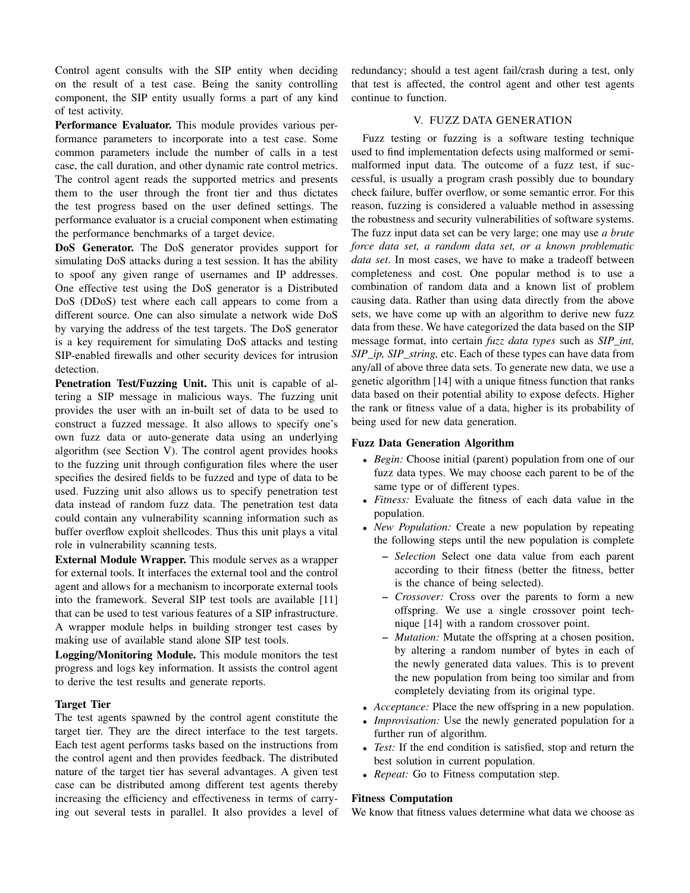Control agent consults with the SIP entity when deciding on the result of a test case. Being the sanity controlling component, the SIP entity usually forms a part of any kind of test activity.

Performance Evaluator. This module provides various performance parameters to incorporate into a test case. Some common parameters include the number of calls in a test case, the call duration, and other dynamic rate control metrics. The control agent reads the supported metrics and presents them to the user through the front tier and thus dictates the test progress based on the user defined settings. The performance evaluator is a crucial component when estimating the performance benchmarks of a target device.

DoS Generator. The DoS generator provides support for simulating DoS attacks during a test session. It has the ability to spoof any given range of usernames and IP addresses. One effective test using the DoS generator is a Distributed DoS (DDoS) test where each call appears to come from a different source. One can also simulate a network wide DoS by varying the address of the test targets. The DoS generator is a key requirement for simulating DoS attacks and testing SIP-enabled firewalls and other security devices for intrusion detection.

Penetration Test/Fuzzing Unit. This unit is capable of altering a SIP message in malicious ways. The fuzzing unit provides the user with an in-built set of data to be used to construct a fuzzed message. It also allows to specify one's own fuzz data or auto-generate data using an underlying algorithm (see Section V). The control agent provides hooks to the fuzzing unit through configuration files where the user specifies the desired fields to be fuzzed and type of data to be used. Fuzzing unit also allows us to specify penetration test data instead of random fuzz data. The penetration test data could contain any vulnerability scanning information such as buffer overflow exploit shellcodes. Thus this unit plays a vital role in vulnerability scanning tests.

External Module Wrapper. This module serves as a wrapper for external tools. It interfaces the external tool and the control agent and allows for a mechanism to incorporate external tools into the framework. Several SIP test tools are available [11] that can be used to test various features of a SIP infrastructure. A wrapper module helps in building stronger test cases by making use of available stand alone SIP test tools.

Logging/Monitoring Module. This module monitors the test progress and logs key information. It assists the control agent to derive the test results and generate reports.

## Target Tier

The test agents spawned by the control agent constitute the target tier. They are the direct interface to the test targets. Each test agent performs tasks based on the instructions from the control agent and then provides feedback. The distributed nature of the target tier has several advantages. A given test case can be distributed among different test agents thereby increasing the efficiency and effectiveness in terms of carrying out several tests in parallel. It also provides a level of redundancy; should a test agent fail/crash during a test, only that test is affected, the control agent and other test agents continue to function.

## V. FUZZ DATA GENERATION

Fuzz testing or fuzzing is a software testing technique used to find implementation defects using malformed or semimalformed input data. The outcome of a fuzz test, if successful, is usually a program crash possibly due to boundary check failure, buffer overflow, or some semantic error. For this reason, fuzzing is considered a valuable method in assessing the robustness and security vulnerabilities of software systems. The fuzz input data set can be very large; one may use *a brute force data set, a random data set, or a known problematic data set*. In most cases, we have to make a tradeoff between completeness and cost. One popular method is to use a combination of random data and a known list of problem causing data. Rather than using data directly from the above sets, we have come up with an algorithm to derive new fuzz data from these. We have categorized the data based on the SIP message format, into certain *fuzz data types* such as *SIP\_int, SIP\_ip, SIP\_string,* etc. Each of these types can have data from any/all of above three data sets. To generate new data, we use a genetic algorithm [14] with a unique fitness function that ranks data based on their potential ability to expose defects. Higher the rank or fitness value of a data, higher is its probability of being used for new data generation.

## Fuzz Data Generation Algorithm

- *Begin:* Choose initial (parent) population from one of our fuzz data types. We may choose each parent to be of the same type or of different types.
- *Fitness:* Evaluate the fitness of each data value in the population.
- *New Population:* Create a new population by repeating the following steps until the new population is complete
	- *Selection* Select one data value from each parent according to their fitness (better the fitness, better is the chance of being selected).
	- *Crossover:* Cross over the parents to form a new offspring. We use a single crossover point technique [14] with a random crossover point.
	- *Mutation:* Mutate the offspring at a chosen position, by altering a random number of bytes in each of the newly generated data values. This is to prevent the new population from being too similar and from completely deviating from its original type.
- *Acceptance:* Place the new offspring in a new population.
- *Improvisation:* Use the newly generated population for a further run of algorithm.
- *Test:* If the end condition is satisfied, stop and return the best solution in current population.
- *Repeat:* Go to Fitness computation step.

# Fitness Computation

We know that fitness values determine what data we choose as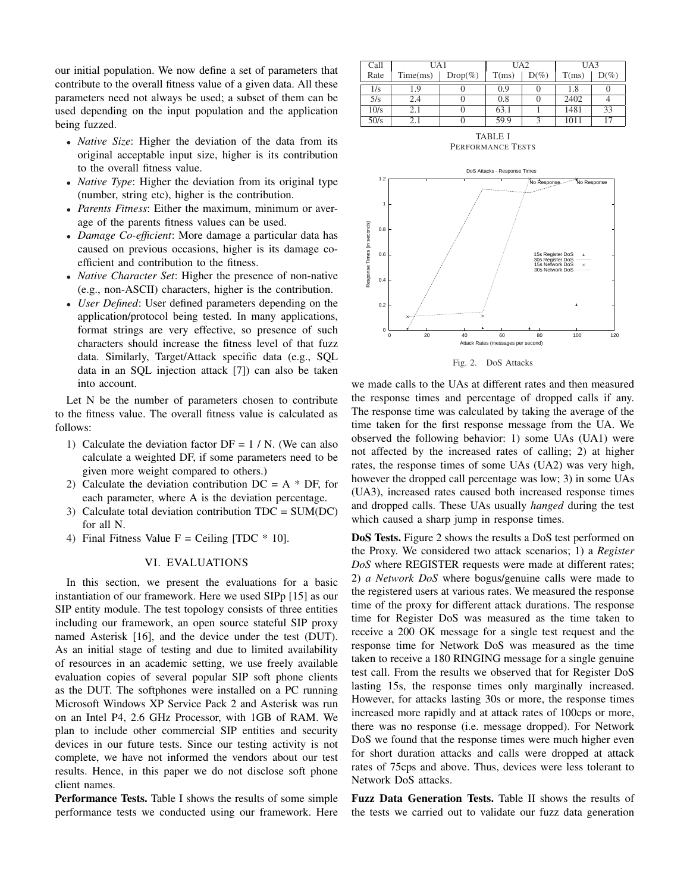our initial population. We now define a set of parameters that contribute to the overall fitness value of a given data. All these parameters need not always be used; a subset of them can be used depending on the input population and the application being fuzzed.

- *Native Size*: Higher the deviation of the data from its original acceptable input size, higher is its contribution to the overall fitness value.
- *Native Type*: Higher the deviation from its original type (number, string etc), higher is the contribution.
- *Parents Fitness*: Either the maximum, minimum or average of the parents fitness values can be used.
- *Damage Co-efficient*: More damage a particular data has caused on previous occasions, higher is its damage coefficient and contribution to the fitness.
- *Native Character Set*: Higher the presence of non-native (e.g., non-ASCII) characters, higher is the contribution.
- *User Defined*: User defined parameters depending on the application/protocol being tested. In many applications, format strings are very effective, so presence of such characters should increase the fitness level of that fuzz data. Similarly, Target/Attack specific data (e.g., SQL data in an SQL injection attack [7]) can also be taken into account.

Let N be the number of parameters chosen to contribute to the fitness value. The overall fitness value is calculated as follows:

- 1) Calculate the deviation factor  $DF = 1 / N$ . (We can also calculate a weighted DF, if some parameters need to be given more weight compared to others.)
- 2) Calculate the deviation contribution  $DC = A * DF$ , for each parameter, where A is the deviation percentage.
- 3) Calculate total deviation contribution TDC = SUM(DC) for all N.
- 4) Final Fitness Value  $F =$  Ceiling [TDC  $*$  10].

## VI. EVALUATIONS

In this section, we present the evaluations for a basic instantiation of our framework. Here we used SIPp [15] as our SIP entity module. The test topology consists of three entities including our framework, an open source stateful SIP proxy named Asterisk [16], and the device under the test (DUT). As an initial stage of testing and due to limited availability of resources in an academic setting, we use freely available evaluation copies of several popular SIP soft phone clients as the DUT. The softphones were installed on a PC running Microsoft Windows XP Service Pack 2 and Asterisk was run on an Intel P4, 2.6 GHz Processor, with 1GB of RAM. We plan to include other commercial SIP entities and security devices in our future tests. Since our testing activity is not complete, we have not informed the vendors about our test results. Hence, in this paper we do not disclose soft phone client names.

Performance Tests. Table I shows the results of some simple performance tests we conducted using our framework. Here

| Call | UA1      |            | UA <sub>2</sub> |         | $II A3$ |        |
|------|----------|------------|-----------------|---------|---------|--------|
| Rate | Time(ms) | $Drop(\%)$ | T(ms)           | $D(\%)$ | T(ms)   | $D(\%$ |
| 1/s  | L.9      |            | 0.9             |         | 1.8     |        |
| 5/s  | 2.4      |            | 0.8             |         | 2402    |        |
| 10/s | 2.1      |            | 63.1            |         | 1481    | 33     |
| 50/s | 2.1      |            | 59.9            |         | 1011    | 17     |

TABLE I PERFORMANCE TESTS



Fig. 2. DoS Attacks

we made calls to the UAs at different rates and then measured the response times and percentage of dropped calls if any. The response time was calculated by taking the average of the time taken for the first response message from the UA. We observed the following behavior: 1) some UAs (UA1) were not affected by the increased rates of calling; 2) at higher rates, the response times of some UAs (UA2) was very high, however the dropped call percentage was low; 3) in some UAs (UA3), increased rates caused both increased response times and dropped calls. These UAs usually *hanged* during the test which caused a sharp jump in response times.

DoS Tests. Figure 2 shows the results a DoS test performed on the Proxy. We considered two attack scenarios; 1) a *Register DoS* where REGISTER requests were made at different rates; 2) *a Network DoS* where bogus/genuine calls were made to the registered users at various rates. We measured the response time of the proxy for different attack durations. The response time for Register DoS was measured as the time taken to receive a 200 OK message for a single test request and the response time for Network DoS was measured as the time taken to receive a 180 RINGING message for a single genuine test call. From the results we observed that for Register DoS lasting 15s, the response times only marginally increased. However, for attacks lasting 30s or more, the response times increased more rapidly and at attack rates of 100cps or more, there was no response (i.e. message dropped). For Network DoS we found that the response times were much higher even for short duration attacks and calls were dropped at attack rates of 75cps and above. Thus, devices were less tolerant to Network DoS attacks.

Fuzz Data Generation Tests. Table II shows the results of the tests we carried out to validate our fuzz data generation